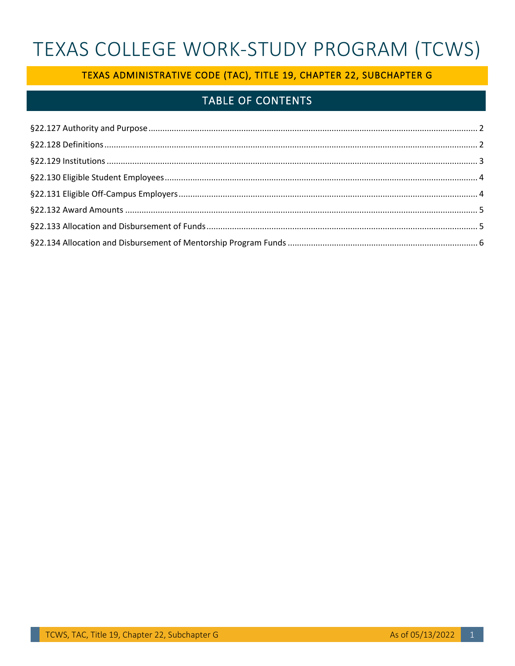# TEXAS COLLEGE WORK-STUDY PROGRAM (TCWS)

## TEXAS ADMINISTRATIVE CODE (TAC), TITLE 19, CHAPTER 22, SUBCHAPTER G

## **TABLE OF CONTENTS**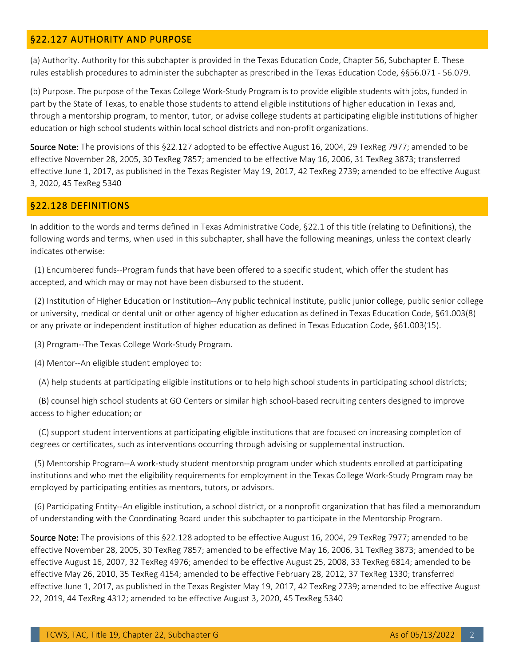#### <span id="page-1-0"></span>§22.127 AUTHORITY AND PURPOSE

(a) Authority. Authority for this subchapter is provided in the Texas Education Code, Chapter 56, Subchapter E. These rules establish procedures to administer the subchapter as prescribed in the Texas Education Code, §§56.071 - 56.079.

(b) Purpose. The purpose of the Texas College Work-Study Program is to provide eligible students with jobs, funded in part by the State of Texas, to enable those students to attend eligible institutions of higher education in Texas and, through a mentorship program, to mentor, tutor, or advise college students at participating eligible institutions of higher education or high school students within local school districts and non-profit organizations.

Source Note: The provisions of this §22.127 adopted to be effective August 16, 2004, 29 TexReg 7977; amended to be effective November 28, 2005, 30 TexReg 7857; amended to be effective May 16, 2006, 31 TexReg 3873; transferred effective June 1, 2017, as published in the Texas Register May 19, 2017, 42 TexReg 2739; amended to be effective August 3, 2020, 45 TexReg 5340

#### <span id="page-1-1"></span>§22.128 DEFINITIONS

In addition to the words and terms defined in Texas Administrative Code, §22.1 of this title (relating to Definitions), the following words and terms, when used in this subchapter, shall have the following meanings, unless the context clearly indicates otherwise:

 (1) Encumbered funds--Program funds that have been offered to a specific student, which offer the student has accepted, and which may or may not have been disbursed to the student.

(2) Institution of Higher Education or Institution--Any public technical institute, public junior college, public senior college or university, medical or dental unit or other agency of higher education as defined in Texas Education Code, §61.003(8) or any private or independent institution of higher education as defined in Texas Education Code, §61.003(15).

(3) Program--The Texas College Work-Study Program.

(4) Mentor--An eligible student employed to:

(A) help students at participating eligible institutions or to help high school students in participating school districts;

(B) counsel high school students at GO Centers or similar high school-based recruiting centers designed to improve access to higher education; or

(C) support student interventions at participating eligible institutions that are focused on increasing completion of degrees or certificates, such as interventions occurring through advising or supplemental instruction.

(5) Mentorship Program--A work-study student mentorship program under which students enrolled at participating institutions and who met the eligibility requirements for employment in the Texas College Work-Study Program may be employed by participating entities as mentors, tutors, or advisors.

(6) Participating Entity--An eligible institution, a school district, or a nonprofit organization that has filed a memorandum of understanding with the Coordinating Board under this subchapter to participate in the Mentorship Program.

Source Note: The provisions of this §22.128 adopted to be effective August 16, 2004, 29 TexReg 7977; amended to be effective November 28, 2005, 30 TexReg 7857; amended to be effective May 16, 2006, 31 TexReg 3873; amended to be effective August 16, 2007, 32 TexReg 4976; amended to be effective August 25, 2008, 33 TexReg 6814; amended to be effective May 26, 2010, 35 TexReg 4154; amended to be effective February 28, 2012, 37 TexReg 1330; transferred effective June 1, 2017, as published in the Texas Register May 19, 2017, 42 TexReg 2739; amended to be effective August 22, 2019, 44 TexReg 4312; amended to be effective August 3, 2020, 45 TexReg 5340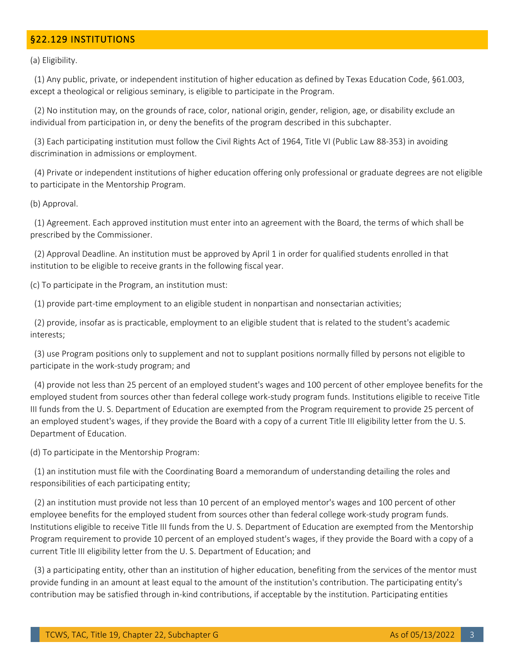#### <span id="page-2-0"></span>§22.129 INSTITUTIONS

(a) Eligibility.

 (1) Any public, private, or independent institution of higher education as defined by Texas Education Code, §61.003, except a theological or religious seminary, is eligible to participate in the Program.

(2) No institution may, on the grounds of race, color, national origin, gender, religion, age, or disability exclude an individual from participation in, or deny the benefits of the program described in this subchapter.

(3) Each participating institution must follow the Civil Rights Act of 1964, Title VI (Public Law 88-353) in avoiding discrimination in admissions or employment.

(4) Private or independent institutions of higher education offering only professional or graduate degrees are not eligible to participate in the Mentorship Program.

(b) Approval.

(1) Agreement. Each approved institution must enter into an agreement with the Board, the terms of which shall be prescribed by the Commissioner.

 (2) Approval Deadline. An institution must be approved by April 1 in order for qualified students enrolled in that institution to be eligible to receive grants in the following fiscal year.

(c) To participate in the Program, an institution must:

(1) provide part-time employment to an eligible student in nonpartisan and nonsectarian activities;

(2) provide, insofar as is practicable, employment to an eligible student that is related to the student's academic interests;

(3) use Program positions only to supplement and not to supplant positions normally filled by persons not eligible to participate in the work-study program; and

(4) provide not less than 25 percent of an employed student's wages and 100 percent of other employee benefits for the employed student from sources other than federal college work-study program funds. Institutions eligible to receive Title III funds from the U. S. Department of Education are exempted from the Program requirement to provide 25 percent of an employed student's wages, if they provide the Board with a copy of a current Title III eligibility letter from the U. S. Department of Education.

(d) To participate in the Mentorship Program:

 (1) an institution must file with the Coordinating Board a memorandum of understanding detailing the roles and responsibilities of each participating entity;

(2) an institution must provide not less than 10 percent of an employed mentor's wages and 100 percent of other employee benefits for the employed student from sources other than federal college work-study program funds. Institutions eligible to receive Title III funds from the U. S. Department of Education are exempted from the Mentorship Program requirement to provide 10 percent of an employed student's wages, if they provide the Board with a copy of a current Title III eligibility letter from the U. S. Department of Education; and

 (3) a participating entity, other than an institution of higher education, benefiting from the services of the mentor must provide funding in an amount at least equal to the amount of the institution's contribution. The participating entity's contribution may be satisfied through in-kind contributions, if acceptable by the institution. Participating entities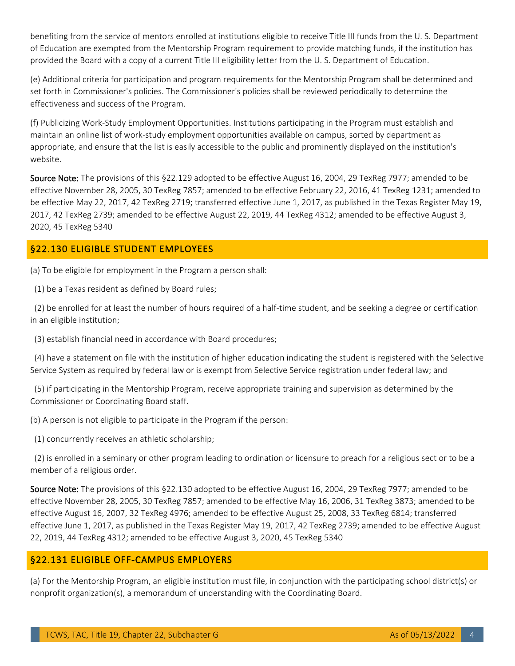benefiting from the service of mentors enrolled at institutions eligible to receive Title III funds from the U. S. Department of Education are exempted from the Mentorship Program requirement to provide matching funds, if the institution has provided the Board with a copy of a current Title III eligibility letter from the U. S. Department of Education.

(e) Additional criteria for participation and program requirements for the Mentorship Program shall be determined and set forth in Commissioner's policies. The Commissioner's policies shall be reviewed periodically to determine the effectiveness and success of the Program.

(f) Publicizing Work-Study Employment Opportunities. Institutions participating in the Program must establish and maintain an online list of work-study employment opportunities available on campus, sorted by department as appropriate, and ensure that the list is easily accessible to the public and prominently displayed on the institution's website.

Source Note: The provisions of this §22.129 adopted to be effective August 16, 2004, 29 TexReg 7977; amended to be effective November 28, 2005, 30 TexReg 7857; amended to be effective February 22, 2016, 41 TexReg 1231; amended to be effective May 22, 2017, 42 TexReg 2719; transferred effective June 1, 2017, as published in the Texas Register May 19, 2017, 42 TexReg 2739; amended to be effective August 22, 2019, 44 TexReg 4312; amended to be effective August 3, 2020, 45 TexReg 5340

#### <span id="page-3-0"></span>§22.130 ELIGIBLE STUDENT EMPLOYEES

(a) To be eligible for employment in the Program a person shall:

(1) be a Texas resident as defined by Board rules;

(2) be enrolled for at least the number of hours required of a half-time student, and be seeking a degree or certification in an eligible institution;

(3) establish financial need in accordance with Board procedures;

(4) have a statement on file with the institution of higher education indicating the student is registered with the Selective Service System as required by federal law or is exempt from Selective Service registration under federal law; and

 (5) if participating in the Mentorship Program, receive appropriate training and supervision as determined by the Commissioner or Coordinating Board staff.

(b) A person is not eligible to participate in the Program if the person:

(1) concurrently receives an athletic scholarship;

(2) is enrolled in a seminary or other program leading to ordination or licensure to preach for a religious sect or to be a member of a religious order.

Source Note: The provisions of this §22.130 adopted to be effective August 16, 2004, 29 TexReg 7977; amended to be effective November 28, 2005, 30 TexReg 7857; amended to be effective May 16, 2006, 31 TexReg 3873; amended to be effective August 16, 2007, 32 TexReg 4976; amended to be effective August 25, 2008, 33 TexReg 6814; transferred 22, 2019, 44 TexReg 4312; amended to be effective August 3, 2020, 45 TexReg 5340 effective June 1, 2017, as published in the Texas Register May 19, 2017, 42 TexReg 2739; amended to be effective August

#### <span id="page-3-1"></span>§22.131 ELIGIBLE OFF-CAMPUS EMPLOYERS

 (a) For the Mentorship Program, an eligible institution must file, in conjunction with the participating school district(s) or nonprofit organization(s), a memorandum of understanding with the Coordinating Board.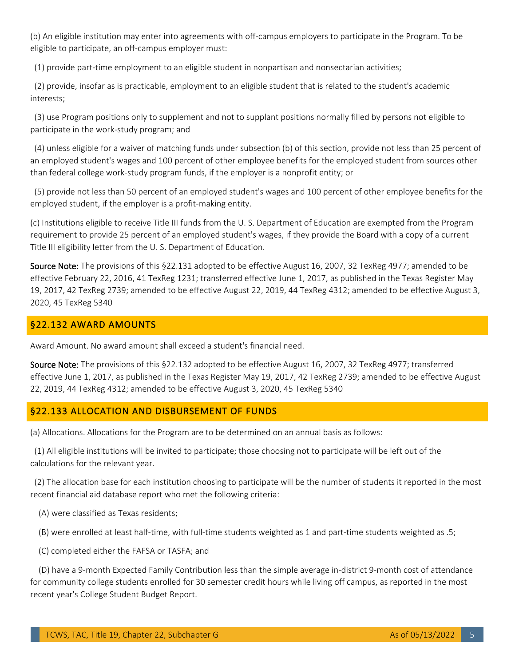(b) An eligible institution may enter into agreements with off-campus employers to participate in the Program. To be eligible to participate, an off-campus employer must:

(1) provide part-time employment to an eligible student in nonpartisan and nonsectarian activities;

(2) provide, insofar as is practicable, employment to an eligible student that is related to the student's academic interests;

(3) use Program positions only to supplement and not to supplant positions normally filled by persons not eligible to participate in the work-study program; and

 (4) unless eligible for a waiver of matching funds under subsection (b) of this section, provide not less than 25 percent of an employed student's wages and 100 percent of other employee benefits for the employed student from sources other than federal college work-study program funds, if the employer is a nonprofit entity; or

(5) provide not less than 50 percent of an employed student's wages and 100 percent of other employee benefits for the employed student, if the employer is a profit-making entity.

(c) Institutions eligible to receive Title III funds from the U. S. Department of Education are exempted from the Program requirement to provide 25 percent of an employed student's wages, if they provide the Board with a copy of a current Title III eligibility letter from the U. S. Department of Education.

Source Note: The provisions of this §22.131 adopted to be effective August 16, 2007, 32 TexReg 4977; amended to be effective February 22, 2016, 41 TexReg 1231; transferred effective June 1, 2017, as published in the Texas Register May 19, 2017, 42 TexReg 2739; amended to be effective August 22, 2019, 44 TexReg 4312; amended to be effective August 3, 2020, 45 TexReg 5340

#### <span id="page-4-0"></span>§22.132 AWARD AMOUNTS

Award Amount. No award amount shall exceed a student's financial need.

Source Note: The provisions of this §22.132 adopted to be effective August 16, 2007, 32 TexReg 4977; transferred effective June 1, 2017, as published in the Texas Register May 19, 2017, 42 TexReg 2739; amended to be effective August 22, 2019, 44 TexReg 4312; amended to be effective August 3, 2020, 45 TexReg 5340

#### <span id="page-4-1"></span>§22.133 ALLOCATION AND DISBURSEMENT OF FUNDS

(a) Allocations. Allocations for the Program are to be determined on an annual basis as follows:

(1) All eligible institutions will be invited to participate; those choosing not to participate will be left out of the calculations for the relevant year.

(2) The allocation base for each institution choosing to participate will be the number of students it reported in the most recent financial aid database report who met the following criteria:

(A) were classified as Texas residents;

(B) were enrolled at least half-time, with full-time students weighted as 1 and part-time students weighted as .5;

(C) completed either the FAFSA or TASFA; and

(D) have a 9-month Expected Family Contribution less than the simple average in-district 9-month cost of attendance for community college students enrolled for 30 semester credit hours while living off campus, as reported in the most recent year's College Student Budget Report.